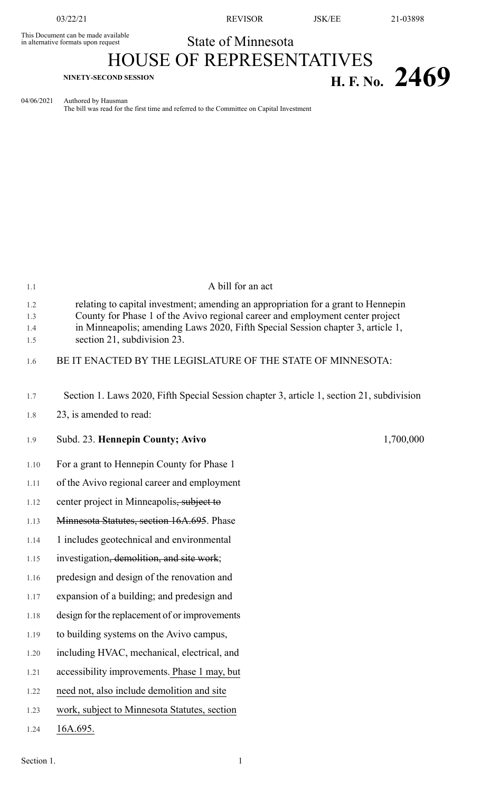This Document can be made available<br>in alternative formats upon request

03/22/21 REVISOR JSK/EE 21-03898

State of Minnesota

HOUSE OF REPRESENTATIVES **H. F. No.** 2469

04/06/2021 Authored by Hausman

The bill was read for the first time and referred to the Committee on Capital Investment

| 1.1                      | A bill for an act                                                                                                                                                                                                                                                                    |
|--------------------------|--------------------------------------------------------------------------------------------------------------------------------------------------------------------------------------------------------------------------------------------------------------------------------------|
| 1.2<br>1.3<br>1.4<br>1.5 | relating to capital investment; amending an appropriation for a grant to Hennepin<br>County for Phase 1 of the Avivo regional career and employment center project<br>in Minneapolis; amending Laws 2020, Fifth Special Session chapter 3, article 1,<br>section 21, subdivision 23. |
| 1.6                      | BE IT ENACTED BY THE LEGISLATURE OF THE STATE OF MINNESOTA:                                                                                                                                                                                                                          |
| 1.7                      | Section 1. Laws 2020, Fifth Special Session chapter 3, article 1, section 21, subdivision                                                                                                                                                                                            |
| 1.8                      | 23, is amended to read:                                                                                                                                                                                                                                                              |
| 1.9                      | Subd. 23. Hennepin County; Avivo<br>1,700,000                                                                                                                                                                                                                                        |
| 1.10                     | For a grant to Hennepin County for Phase 1                                                                                                                                                                                                                                           |
| 1.11                     | of the Avivo regional career and employment                                                                                                                                                                                                                                          |
| 1.12                     | center project in Minneapolis, subject to                                                                                                                                                                                                                                            |
| 1.13                     | Minnesota Statutes, section 16A.695. Phase                                                                                                                                                                                                                                           |
| 1.14                     | 1 includes geotechnical and environmental                                                                                                                                                                                                                                            |
| 1.15                     | investigation, demolition, and site work;                                                                                                                                                                                                                                            |
| 1.16                     | predesign and design of the renovation and                                                                                                                                                                                                                                           |
| 1.17                     | expansion of a building; and predesign and                                                                                                                                                                                                                                           |
| 1.18                     | design for the replacement of or improvements                                                                                                                                                                                                                                        |
| 1.19                     | to building systems on the Avivo campus,                                                                                                                                                                                                                                             |
| 1.20                     | including HVAC, mechanical, electrical, and                                                                                                                                                                                                                                          |
| 1.21                     | accessibility improvements. Phase 1 may, but                                                                                                                                                                                                                                         |
| 1.22                     | need not, also include demolition and site                                                                                                                                                                                                                                           |
| 1.23                     | work, subject to Minnesota Statutes, section                                                                                                                                                                                                                                         |
| 1.24                     | 16A.695.                                                                                                                                                                                                                                                                             |